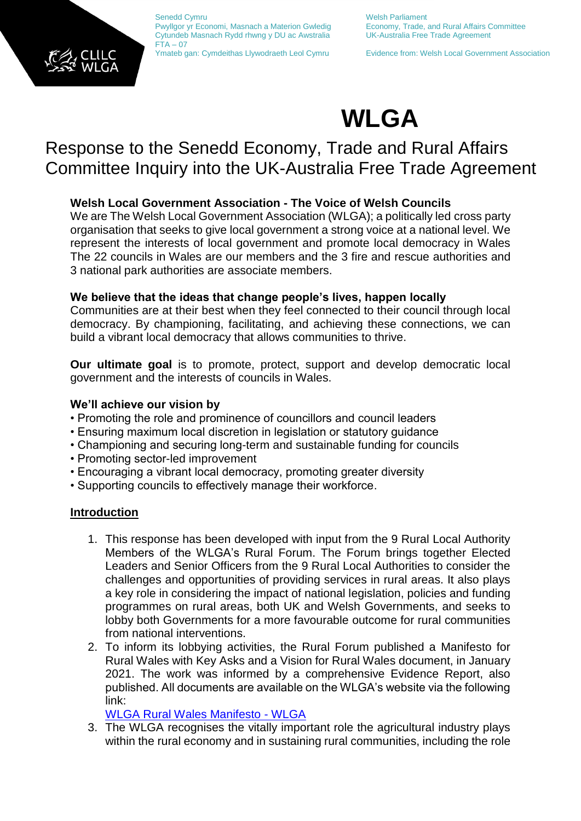

Senedd Cymru Nelsh Parliament Pwyllgor yr Economi, Masnach a Materion Gwledig Economy, Trade, and Rural Affairs Committee<br>Cytundeb Masnach Rydd rhwng y DU ac Awstralia UK-Australia Free Trade Agreement Cytundeb Masnach Rydd rhwng y DU ac Awstralia  $FTA - 07$ 

Ymateb gan: Cymdeithas Llywodraeth Leol Cymru Evidence from: Welsh Local Government Association

# **WLGA**

## Response to the Senedd Economy, Trade and Rural Affairs Committee Inquiry into the UK-Australia Free Trade Agreement

### **Welsh Local Government Association - The Voice of Welsh Councils**

We are The Welsh Local Government Association (WLGA); a politically led cross party organisation that seeks to give local government a strong voice at a national level. We represent the interests of local government and promote local democracy in Wales The 22 councils in Wales are our members and the 3 fire and rescue authorities and 3 national park authorities are associate members.

#### **We believe that the ideas that change people's lives, happen locally**

Communities are at their best when they feel connected to their council through local democracy. By championing, facilitating, and achieving these connections, we can build a vibrant local democracy that allows communities to thrive.

**Our ultimate goal** is to promote, protect, support and develop democratic local government and the interests of councils in Wales.

#### **We'll achieve our vision by**

- Promoting the role and prominence of councillors and council leaders
- Ensuring maximum local discretion in legislation or statutory guidance
- Championing and securing long-term and sustainable funding for councils
- Promoting sector-led improvement
- Encouraging a vibrant local democracy, promoting greater diversity
- Supporting councils to effectively manage their workforce.

#### **Introduction**

- 1. This response has been developed with input from the 9 Rural Local Authority Members of the WLGA's Rural Forum. The Forum brings together Elected Leaders and Senior Officers from the 9 Rural Local Authorities to consider the challenges and opportunities of providing services in rural areas. It also plays a key role in considering the impact of national legislation, policies and funding programmes on rural areas, both UK and Welsh Governments, and seeks to lobby both Governments for a more favourable outcome for rural communities from national interventions.
- 2. To inform its lobbying activities, the Rural Forum published a Manifesto for Rural Wales with Key Asks and a Vision for Rural Wales document, in January 2021. The work was informed by a comprehensive Evidence Report, also published. All documents are available on the WLGA's website via the following link:

[WLGA Rural Wales Manifesto -](https://www.wlga.wales/wlga-rural-wales-manifesto) WLGA

3. The WLGA recognises the vitally important role the agricultural industry plays within the rural economy and in sustaining rural communities, including the role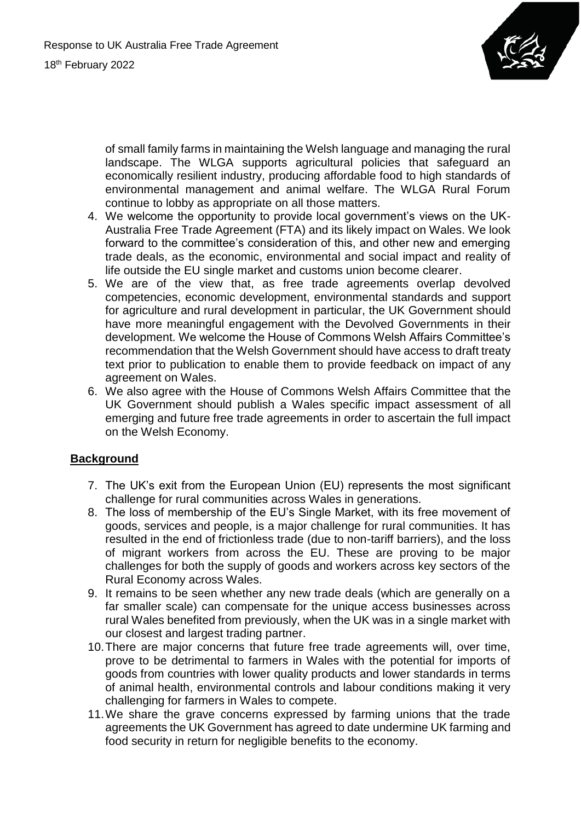

of small family farms in maintaining the Welsh language and managing the rural landscape. The WLGA supports agricultural policies that safeguard an economically resilient industry, producing affordable food to high standards of environmental management and animal welfare. The WLGA Rural Forum continue to lobby as appropriate on all those matters.

- 4. We welcome the opportunity to provide local government's views on the UK-Australia Free Trade Agreement (FTA) and its likely impact on Wales. We look forward to the committee's consideration of this, and other new and emerging trade deals, as the economic, environmental and social impact and reality of life outside the EU single market and customs union become clearer.
- 5. We are of the view that, as free trade agreements overlap devolved competencies, economic development, environmental standards and support for agriculture and rural development in particular, the UK Government should have more meaningful engagement with the Devolved Governments in their development. We welcome the House of Commons Welsh Affairs Committee's recommendation that the Welsh Government should have access to draft treaty text prior to publication to enable them to provide feedback on impact of any agreement on Wales.
- 6. We also agree with the House of Commons Welsh Affairs Committee that the UK Government should publish a Wales specific impact assessment of all emerging and future free trade agreements in order to ascertain the full impact on the Welsh Economy.

#### **Background**

- 7. The UK's exit from the European Union (EU) represents the most significant challenge for rural communities across Wales in generations.
- 8. The loss of membership of the EU's Single Market, with its free movement of goods, services and people, is a major challenge for rural communities. It has resulted in the end of frictionless trade (due to non-tariff barriers), and the loss of migrant workers from across the EU. These are proving to be major challenges for both the supply of goods and workers across key sectors of the Rural Economy across Wales.
- 9. It remains to be seen whether any new trade deals (which are generally on a far smaller scale) can compensate for the unique access businesses across rural Wales benefited from previously, when the UK was in a single market with our closest and largest trading partner.
- 10.There are major concerns that future free trade agreements will, over time, prove to be detrimental to farmers in Wales with the potential for imports of goods from countries with lower quality products and lower standards in terms of animal health, environmental controls and labour conditions making it very challenging for farmers in Wales to compete.
- 11.We share the grave concerns expressed by farming unions that the trade agreements the UK Government has agreed to date undermine UK farming and food security in return for negligible benefits to the economy.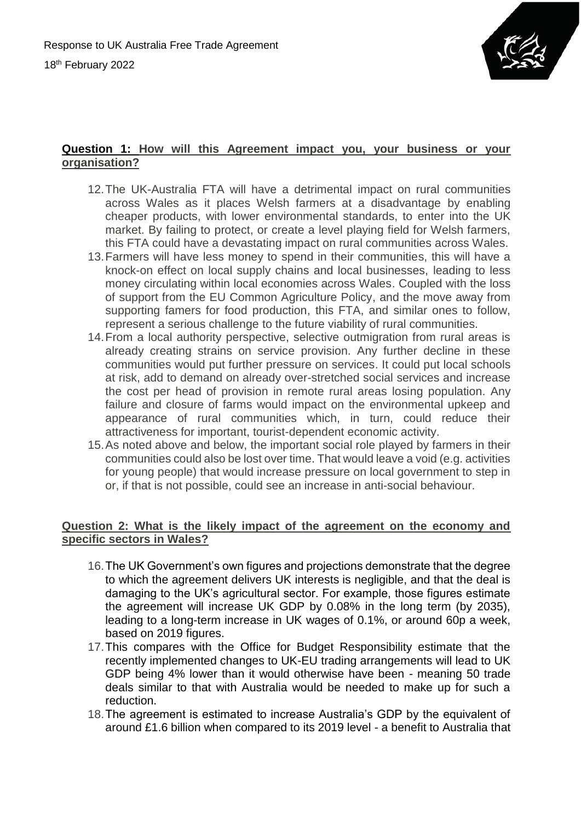

#### **Question 1: How will this Agreement impact you, your business or your organisation?**

- 12.The UK-Australia FTA will have a detrimental impact on rural communities across Wales as it places Welsh farmers at a disadvantage by enabling cheaper products, with lower environmental standards, to enter into the UK market. By failing to protect, or create a level playing field for Welsh farmers, this FTA could have a devastating impact on rural communities across Wales.
- 13.Farmers will have less money to spend in their communities, this will have a knock-on effect on local supply chains and local businesses, leading to less money circulating within local economies across Wales. Coupled with the loss of support from the EU Common Agriculture Policy, and the move away from supporting famers for food production, this FTA, and similar ones to follow, represent a serious challenge to the future viability of rural communities.
- 14.From a local authority perspective, selective outmigration from rural areas is already creating strains on service provision. Any further decline in these communities would put further pressure on services. It could put local schools at risk, add to demand on already over-stretched social services and increase the cost per head of provision in remote rural areas losing population. Any failure and closure of farms would impact on the environmental upkeep and appearance of rural communities which, in turn, could reduce their attractiveness for important, tourist-dependent economic activity.
- 15.As noted above and below, the important social role played by farmers in their communities could also be lost over time. That would leave a void (e.g. activities for young people) that would increase pressure on local government to step in or, if that is not possible, could see an increase in anti-social behaviour.

#### **Question 2: What is the likely impact of the agreement on the economy and specific sectors in Wales?**

- 16.The UK Government's own figures and projections demonstrate that the degree to which the agreement delivers UK interests is negligible, and that the deal is damaging to the UK's agricultural sector. For example, those figures estimate the agreement will increase UK GDP by 0.08% in the long term (by 2035), leading to a long-term increase in UK wages of 0.1%, or around 60p a week, based on 2019 figures.
- 17.This compares with the Office for Budget Responsibility estimate that the recently implemented changes to UK-EU trading arrangements will lead to UK GDP being 4% lower than it would otherwise have been - meaning 50 trade deals similar to that with Australia would be needed to make up for such a reduction.
- 18.The agreement is estimated to increase Australia's GDP by the equivalent of around £1.6 billion when compared to its 2019 level - a benefit to Australia that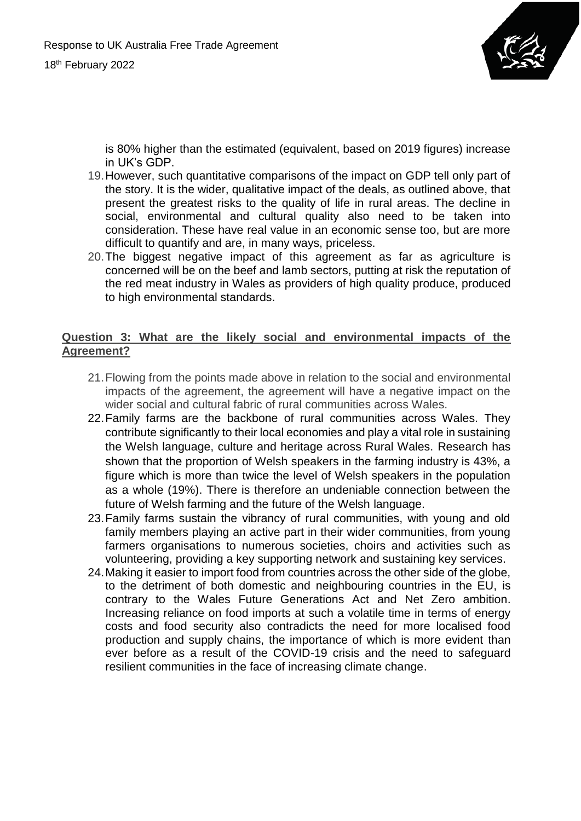

is 80% higher than the estimated (equivalent, based on 2019 figures) increase in UK's GDP.

- 19.However, such quantitative comparisons of the impact on GDP tell only part of the story. It is the wider, qualitative impact of the deals, as outlined above, that present the greatest risks to the quality of life in rural areas. The decline in social, environmental and cultural quality also need to be taken into consideration. These have real value in an economic sense too, but are more difficult to quantify and are, in many ways, priceless.
- 20.The biggest negative impact of this agreement as far as agriculture is concerned will be on the beef and lamb sectors, putting at risk the reputation of the red meat industry in Wales as providers of high quality produce, produced to high environmental standards.

#### **Question 3: What are the likely social and environmental impacts of the Agreement?**

- 21.Flowing from the points made above in relation to the social and environmental impacts of the agreement, the agreement will have a negative impact on the wider social and cultural fabric of rural communities across Wales.
- 22.Family farms are the backbone of rural communities across Wales. They contribute significantly to their local economies and play a vital role in sustaining the Welsh language, culture and heritage across Rural Wales. Research has shown that the proportion of Welsh speakers in the farming industry is 43%, a figure which is more than twice the level of Welsh speakers in the population as a whole (19%). There is therefore an undeniable connection between the future of Welsh farming and the future of the Welsh language.
- 23.Family farms sustain the vibrancy of rural communities, with young and old family members playing an active part in their wider communities, from young farmers organisations to numerous societies, choirs and activities such as volunteering, providing a key supporting network and sustaining key services.
- 24.Making it easier to import food from countries across the other side of the globe, to the detriment of both domestic and neighbouring countries in the EU, is contrary to the Wales Future Generations Act and Net Zero ambition. Increasing reliance on food imports at such a volatile time in terms of energy costs and food security also contradicts the need for more localised food production and supply chains, the importance of which is more evident than ever before as a result of the COVID-19 crisis and the need to safeguard resilient communities in the face of increasing climate change.